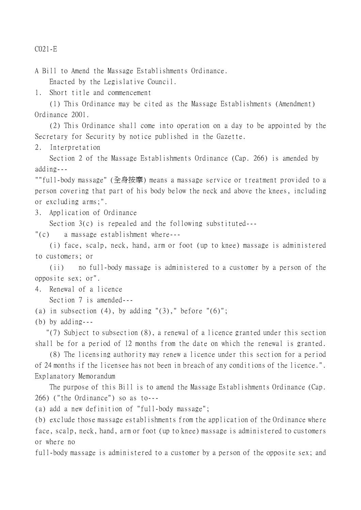C021-E

A Bill to Amend the Massage Establishments Ordinance. Enacted by the Legislative Council.

1. Short title and commencement

(1) This Ordinance may be cited as the Massage Establishments (Amendment) Ordinance 2001.

(2) This Ordinance shall come into operation on a day to be appointed by the Secretary for Security by notice published in the Gazette.

2. Interpretation

Section 2 of the Massage Establishments Ordinance (Cap. 266) is amended by adding---

""full-body massage" (全身按摩) means a massage service or treatment provided to a person covering that part of his body below the neck and above the knees, including or excluding arms;".

3. Application of Ordinance

Section 3(c) is repealed and the following substituted---

"(c) a massage establishment where---

(i) face, scalp, neck, hand, arm or foot (up to knee) massage is administered to customers; or

(ii) no full-body massage is administered to a customer by a person of the opposite sex; or".

4. Renewal of a licence Section 7 is amended---

- (a) in subsection  $(4)$ , by adding " $(3)$ ," before " $(6)$ ";
- (b) by adding---

 "(7) Subject to subsection (8), a renewal of a licence granted under this section shall be for a period of 12 months from the date on which the renewal is granted.

(8) The licensing authority may renew a licence under this section for a period of 24 months if the licensee has not been in breach of any conditions of the licence.". Explanatory Memorandum

The purpose of this Bill is to amend the Massage Establishments Ordinance (Cap. 266) ("the Ordinance") so as to---

(a) add a new definition of "full-body massage";

(b) exclude those massage establishments from the application of the Ordinance where face, scalp, neck, hand, arm or foot (up to knee) massage is administered to customers or where no

full-body massage is administered to a customer by a person of the opposite sex; and